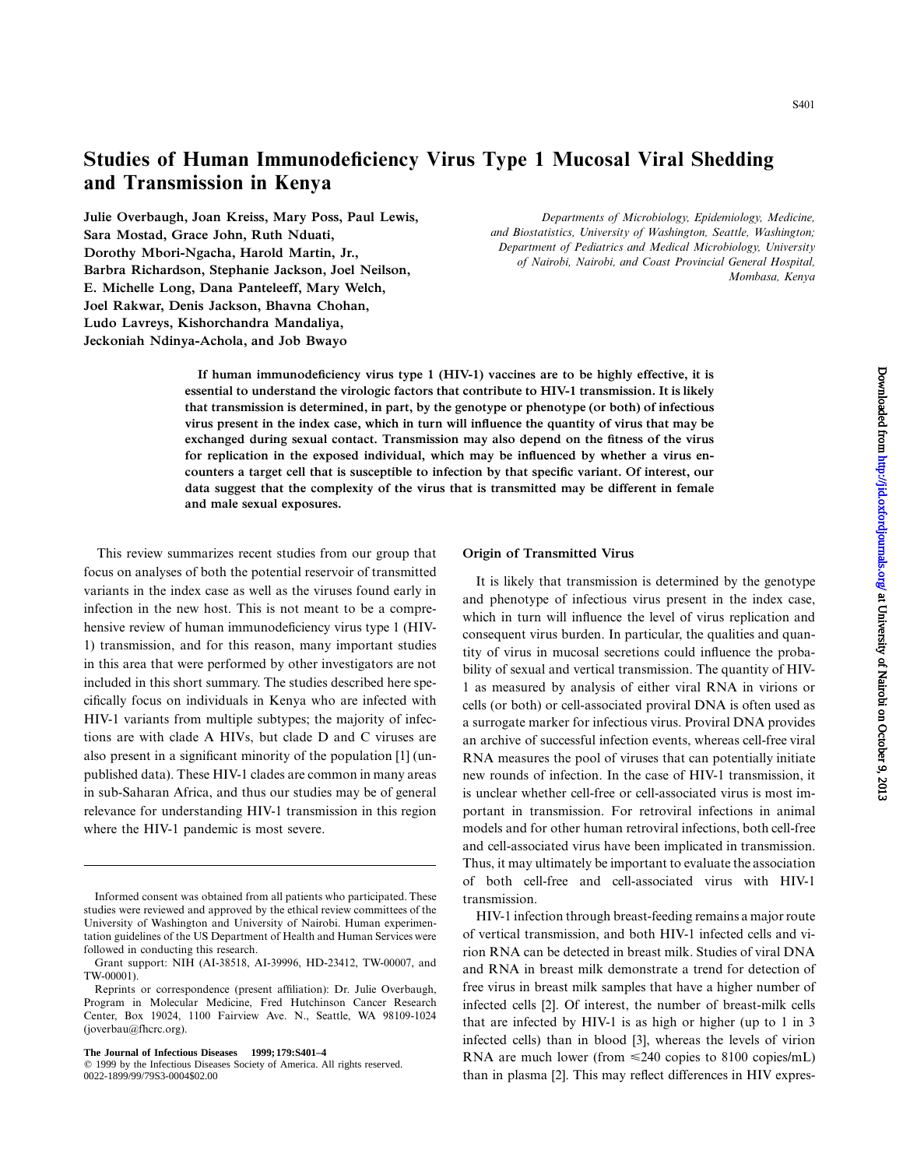## **Studies of Human Immunodeficiency Virus Type 1 Mucosal Viral Shedding and Transmission in Kenya**

**Julie Overbaugh, Joan Kreiss, Mary Poss, Paul Lewis, Sara Mostad, Grace John, Ruth Nduati, Dorothy Mbori-Ngacha, Harold Martin, Jr., Barbra Richardson, Stephanie Jackson, Joel Neilson, E. Michelle Long, Dana Panteleeff, Mary Welch, Joel Rakwar, Denis Jackson, Bhavna Chohan, Ludo Lavreys, Kishorchandra Mandaliya, Jeckoniah Ndinya-Achola, and Job Bwayo**

*Departments of Microbiology, Epidemiology, Medicine, and Biostatistics, University of Washington, Seattle, Washington; Department of Pediatrics and Medical Microbiology, University of Nairobi, Nairobi, and Coast Provincial General Hospital, Mombasa, Kenya*

**If human immunodeficiency virus type 1 (HIV-1) vaccines are to be highly effective, it is essential to understand the virologic factors that contribute to HIV-1 transmission. It is likely that transmission is determined, in part, by the genotype or phenotype (or both) of infectious virus present in the index case, which in turn will influence the quantity of virus that may be exchanged during sexual contact. Transmission may also depend on the fitness of the virus for replication in the exposed individual, which may be influenced by whether a virus encounters a target cell that is susceptible to infection by that specific variant. Of interest, our data suggest that the complexity of the virus that is transmitted may be different in female and male sexual exposures.**

This review summarizes recent studies from our group that focus on analyses of both the potential reservoir of transmitted variants in the index case as well as the viruses found early in infection in the new host. This is not meant to be a comprehensive review of human immunodeficiency virus type 1 (HIV-1) transmission, and for this reason, many important studies in this area that were performed by other investigators are not included in this short summary. The studies described here specifically focus on individuals in Kenya who are infected with HIV-1 variants from multiple subtypes; the majority of infections are with clade A HIVs, but clade D and C viruses are also present in a significant minority of the population [1] (unpublished data). These HIV-1 clades are common in many areas in sub-Saharan Africa, and thus our studies may be of general relevance for understanding HIV-1 transmission in this region where the HIV-1 pandemic is most severe.

**The Journal of Infectious Diseases 1999;179:S401–4**

## **Origin of Transmitted Virus**

It is likely that transmission is determined by the genotype and phenotype of infectious virus present in the index case, which in turn will influence the level of virus replication and consequent virus burden. In particular, the qualities and quantity of virus in mucosal secretions could influence the probability of sexual and vertical transmission. The quantity of HIV-1 as measured by analysis of either viral RNA in virions or cells (or both) or cell-associated proviral DNA is often used as a surrogate marker for infectious virus. Proviral DNA provides an archive of successful infection events, whereas cell-free viral RNA measures the pool of viruses that can potentially initiate new rounds of infection. In the case of HIV-1 transmission, it is unclear whether cell-free or cell-associated virus is most important in transmission. For retroviral infections in animal models and for other human retroviral infections, both cell-free and cell-associated virus have been implicated in transmission. Thus, it may ultimately be important to evaluate the association of both cell-free and cell-associated virus with HIV-1 transmission.

HIV-1 infection through breast-feeding remains a major route of vertical transmission, and both HIV-1 infected cells and virion RNA can be detected in breast milk. Studies of viral DNA and RNA in breast milk demonstrate a trend for detection of free virus in breast milk samples that have a higher number of infected cells [2]. Of interest, the number of breast-milk cells that are infected by HIV-1 is as high or higher (up to 1 in 3 infected cells) than in blood [3], whereas the levels of virion RNA are much lower (from  $\leq 240$  copies to 8100 copies/mL) than in plasma [2]. This may reflect differences in HIV expres-

Informed consent was obtained from all patients who participated. These studies were reviewed and approved by the ethical review committees of the University of Washington and University of Nairobi. Human experimentation guidelines of the US Department of Health and Human Services were followed in conducting this research.

Grant support: NIH (AI-38518, AI-39996, HD-23412, TW-00007, and TW-00001).

Reprints or correspondence (present affiliation): Dr. Julie Overbaugh, Program in Molecular Medicine, Fred Hutchinson Cancer Research Center, Box 19024, 1100 Fairview Ave. N., Seattle, WA 98109-1024 (joverbau@fhcrc.org).

 $©$  1999 by the Infectious Diseases Society of America. All rights reserved. 0022-1899/99/79S3-0004\$02.00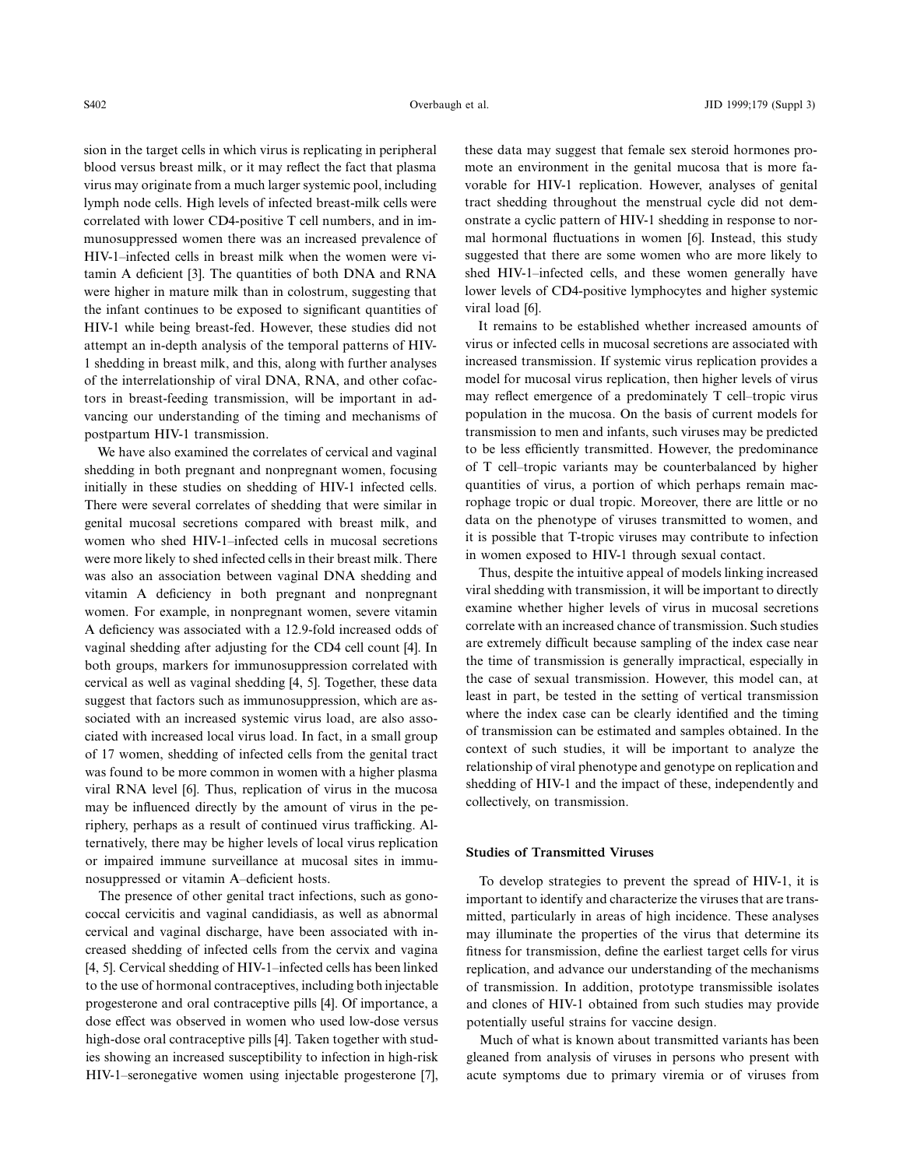sion in the target cells in which virus is replicating in peripheral blood versus breast milk, or it may reflect the fact that plasma virus may originate from a much larger systemic pool, including lymph node cells. High levels of infected breast-milk cells were correlated with lower CD4-positive T cell numbers, and in immunosuppressed women there was an increased prevalence of HIV-1–infected cells in breast milk when the women were vitamin A deficient [3]. The quantities of both DNA and RNA were higher in mature milk than in colostrum, suggesting that the infant continues to be exposed to significant quantities of HIV-1 while being breast-fed. However, these studies did not attempt an in-depth analysis of the temporal patterns of HIV-1 shedding in breast milk, and this, along with further analyses of the interrelationship of viral DNA, RNA, and other cofactors in breast-feeding transmission, will be important in advancing our understanding of the timing and mechanisms of postpartum HIV-1 transmission.

We have also examined the correlates of cervical and vaginal shedding in both pregnant and nonpregnant women, focusing initially in these studies on shedding of HIV-1 infected cells. There were several correlates of shedding that were similar in genital mucosal secretions compared with breast milk, and women who shed HIV-1–infected cells in mucosal secretions were more likely to shed infected cells in their breast milk. There was also an association between vaginal DNA shedding and vitamin A deficiency in both pregnant and nonpregnant women. For example, in nonpregnant women, severe vitamin A deficiency was associated with a 12.9-fold increased odds of vaginal shedding after adjusting for the CD4 cell count [4]. In both groups, markers for immunosuppression correlated with cervical as well as vaginal shedding [4, 5]. Together, these data suggest that factors such as immunosuppression, which are associated with an increased systemic virus load, are also associated with increased local virus load. In fact, in a small group of 17 women, shedding of infected cells from the genital tract was found to be more common in women with a higher plasma viral RNA level [6]. Thus, replication of virus in the mucosa may be influenced directly by the amount of virus in the periphery, perhaps as a result of continued virus trafficking. Alternatively, there may be higher levels of local virus replication or impaired immune surveillance at mucosal sites in immunosuppressed or vitamin A–deficient hosts.

The presence of other genital tract infections, such as gonococcal cervicitis and vaginal candidiasis, as well as abnormal cervical and vaginal discharge, have been associated with increased shedding of infected cells from the cervix and vagina [4, 5]. Cervical shedding of HIV-1–infected cells has been linked to the use of hormonal contraceptives, including both injectable progesterone and oral contraceptive pills [4]. Of importance, a dose effect was observed in women who used low-dose versus high-dose oral contraceptive pills [4]. Taken together with studies showing an increased susceptibility to infection in high-risk HIV-1–seronegative women using injectable progesterone [7], these data may suggest that female sex steroid hormones promote an environment in the genital mucosa that is more favorable for HIV-1 replication. However, analyses of genital tract shedding throughout the menstrual cycle did not demonstrate a cyclic pattern of HIV-1 shedding in response to normal hormonal fluctuations in women [6]. Instead, this study suggested that there are some women who are more likely to shed HIV-1–infected cells, and these women generally have lower levels of CD4-positive lymphocytes and higher systemic viral load [6].

It remains to be established whether increased amounts of virus or infected cells in mucosal secretions are associated with increased transmission. If systemic virus replication provides a model for mucosal virus replication, then higher levels of virus may reflect emergence of a predominately T cell–tropic virus population in the mucosa. On the basis of current models for transmission to men and infants, such viruses may be predicted to be less efficiently transmitted. However, the predominance of T cell–tropic variants may be counterbalanced by higher quantities of virus, a portion of which perhaps remain macrophage tropic or dual tropic. Moreover, there are little or no data on the phenotype of viruses transmitted to women, and it is possible that T-tropic viruses may contribute to infection in women exposed to HIV-1 through sexual contact.

Thus, despite the intuitive appeal of models linking increased viral shedding with transmission, it will be important to directly examine whether higher levels of virus in mucosal secretions correlate with an increased chance of transmission. Such studies are extremely difficult because sampling of the index case near the time of transmission is generally impractical, especially in the case of sexual transmission. However, this model can, at least in part, be tested in the setting of vertical transmission where the index case can be clearly identified and the timing of transmission can be estimated and samples obtained. In the context of such studies, it will be important to analyze the relationship of viral phenotype and genotype on replication and shedding of HIV-1 and the impact of these, independently and collectively, on transmission.

## **Studies of Transmitted Viruses**

To develop strategies to prevent the spread of HIV-1, it is important to identify and characterize the viruses that are transmitted, particularly in areas of high incidence. These analyses may illuminate the properties of the virus that determine its fitness for transmission, define the earliest target cells for virus replication, and advance our understanding of the mechanisms of transmission. In addition, prototype transmissible isolates and clones of HIV-1 obtained from such studies may provide potentially useful strains for vaccine design.

Much of what is known about transmitted variants has been gleaned from analysis of viruses in persons who present with acute symptoms due to primary viremia or of viruses from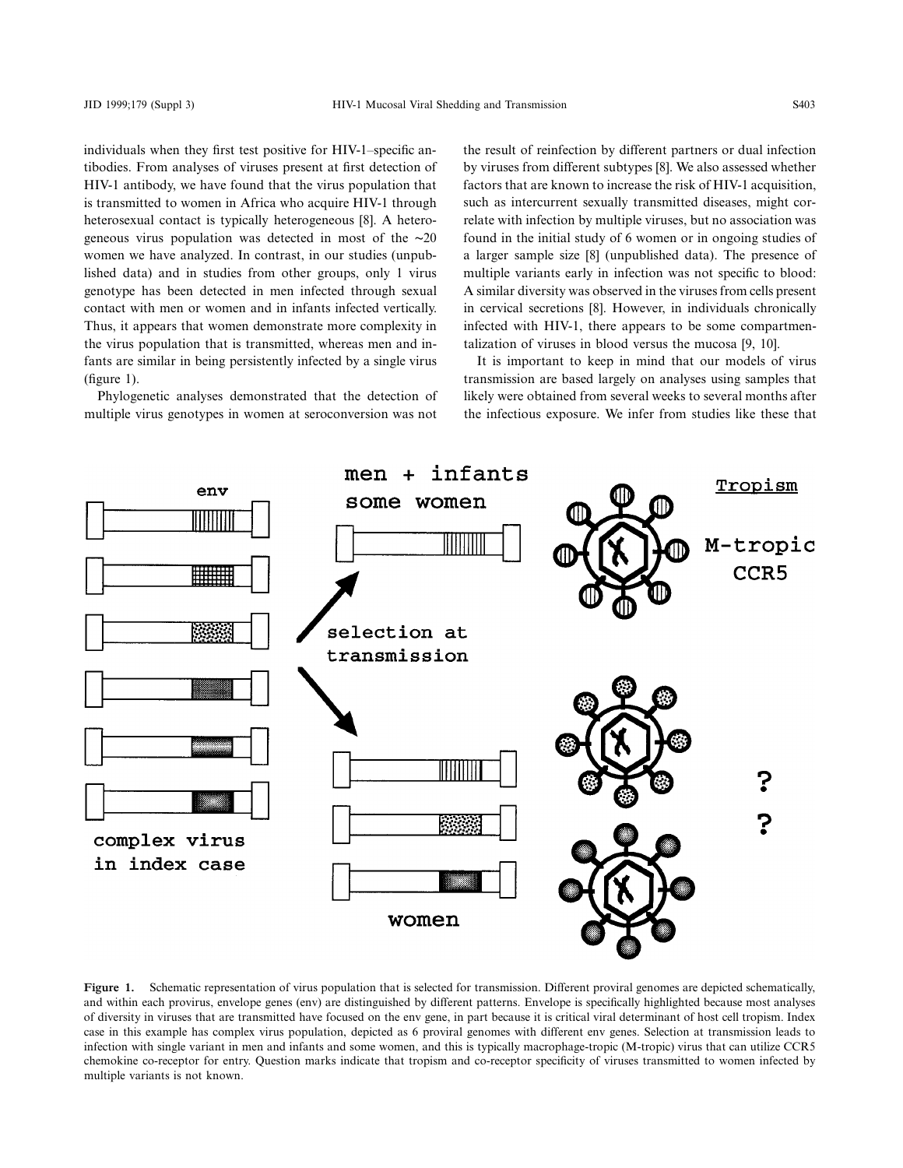individuals when they first test positive for HIV-1–specific antibodies. From analyses of viruses present at first detection of HIV-1 antibody, we have found that the virus population that is transmitted to women in Africa who acquire HIV-1 through heterosexual contact is typically heterogeneous [8]. A heterogeneous virus population was detected in most of the ∼20 women we have analyzed. In contrast, in our studies (unpublished data) and in studies from other groups, only 1 virus genotype has been detected in men infected through sexual contact with men or women and in infants infected vertically. Thus, it appears that women demonstrate more complexity in the virus population that is transmitted, whereas men and infants are similar in being persistently infected by a single virus (figure 1).

Phylogenetic analyses demonstrated that the detection of multiple virus genotypes in women at seroconversion was not the result of reinfection by different partners or dual infection by viruses from different subtypes [8]. We also assessed whether factors that are known to increase the risk of HIV-1 acquisition, such as intercurrent sexually transmitted diseases, might correlate with infection by multiple viruses, but no association was found in the initial study of 6 women or in ongoing studies of a larger sample size [8] (unpublished data). The presence of multiple variants early in infection was not specific to blood: A similar diversity was observed in the viruses from cells present in cervical secretions [8]. However, in individuals chronically infected with HIV-1, there appears to be some compartmentalization of viruses in blood versus the mucosa [9, 10].

It is important to keep in mind that our models of virus transmission are based largely on analyses using samples that likely were obtained from several weeks to several months after the infectious exposure. We infer from studies like these that



**Figure 1.** Schematic representation of virus population that is selected for transmission. Different proviral genomes are depicted schematically, and within each provirus, envelope genes (env) are distinguished by different patterns. Envelope is specifically highlighted because most analyses of diversity in viruses that are transmitted have focused on the env gene, in part because it is critical viral determinant of host cell tropism. Index case in this example has complex virus population, depicted as 6 proviral genomes with different env genes. Selection at transmission leads to infection with single variant in men and infants and some women, and this is typically macrophage-tropic (M-tropic) virus that can utilize CCR5 chemokine co-receptor for entry. Question marks indicate that tropism and co-receptor specificity of viruses transmitted to women infected by multiple variants is not known.